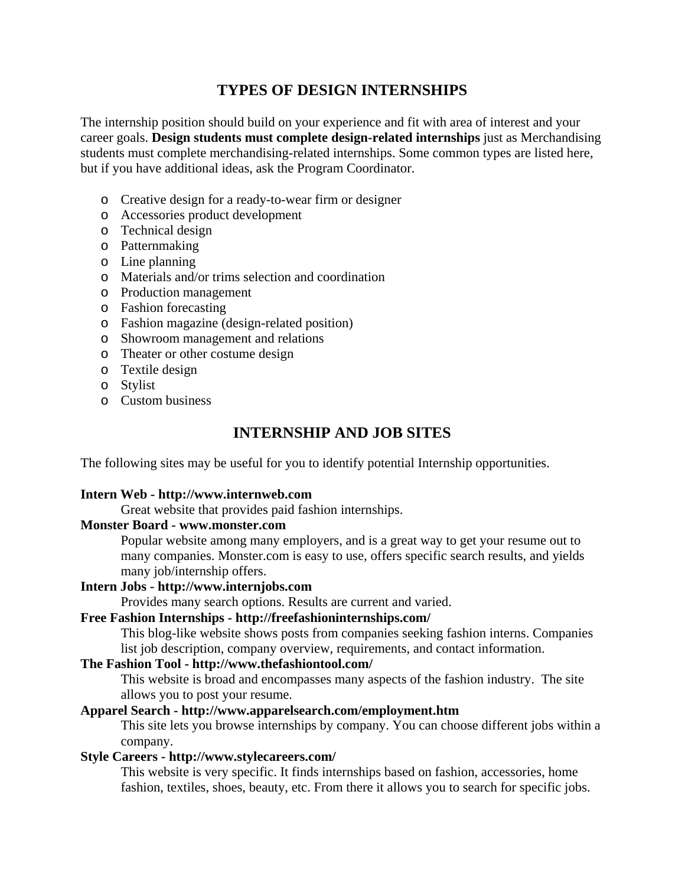# **TYPES OF DESIGN INTERNSHIPS**

The internship position should build on your experience and fit with area of interest and your career goals. **Design students must complete design-related internships** just as Merchandising students must complete merchandising-related internships. Some common types are listed here, but if you have additional ideas, ask the Program Coordinator.

- o Creative design for a ready-to-wear firm or designer
- o Accessories product development
- o Technical design
- o Patternmaking
- o Line planning
- o Materials and/or trims selection and coordination
- o Production management
- o Fashion forecasting
- o Fashion magazine (design-related position)
- o Showroom management and relations
- o Theater or other costume design
- o Textile design
- o Stylist
- o Custom business

## **INTERNSHIP AND JOB SITES**

The following sites may be useful for you to identify potential Internship opportunities.

#### **Intern Web - http://www.internweb.com**

Great website that provides paid fashion internships.

#### **Monster Board - www.monster.com**

Popular website among many employers, and is a great way to get your resume out to many companies. Monster.com is easy to use, offers specific search results, and yields many job/internship offers.

#### **Intern Jobs - http://www.internjobs.com**

Provides many search options. Results are current and varied.

#### **Free Fashion Internships - http://freefashioninternships.com/**

This blog-like website shows posts from companies seeking fashion interns. Companies list job description, company overview, requirements, and contact information.

#### **The Fashion Tool - http://www.thefashiontool.com/**

This website is broad and encompasses many aspects of the fashion industry. The site allows you to post your resume.

### **Apparel Search - http://www.apparelsearch.com/employment.htm**

This site lets you browse internships by company. You can choose different jobs within a company.

#### **Style Careers - http://www.stylecareers.com/**

This website is very specific. It finds internships based on fashion, accessories, home fashion, textiles, shoes, beauty, etc. From there it allows you to search for specific jobs.